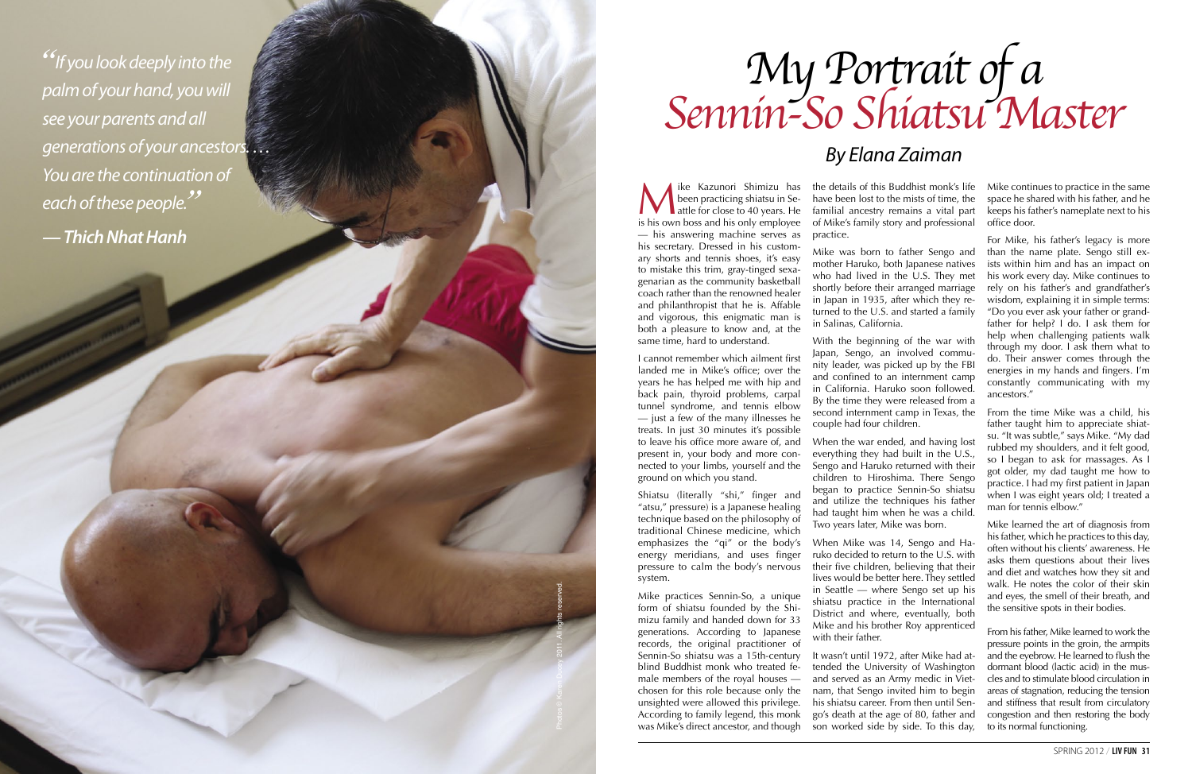Wike Kazunori Shimizu has<br>
been practicing shiatsu in Se-<br>
is his own boss and his only employee been practicing shiatsu in Se is his own boss and his only employee — his answering machine serves as his secretary. Dressed in his custom ary shorts and tennis shoes, it's easy to mistake this trim, gray-tinged sexa genarian as the community basketball coach rather than the renowned healer and philanthropist that he is. Affable and vigorous, this enigmatic man is both a pleasure to know and, at the same time, hard to understand.

I cannot remember which ailment first landed me in Mike's office; over the years he has helped me with hip and back pain, thyroid problems, carpal tunnel syndrome, and tennis elbow — just a few of the many illnesses he treats. In just 30 minutes it's possible to leave his office more aware of, and present in, your body and more con nected to your limbs, yourself and the ground on which you stand.

Shiatsu (literally "shi," finger and "atsu," pressure) is a Japanese healing technique based on the philosophy of traditional Chinese medicine, which energy meridians, and uses finger pressure to calm the body's nervous system.

Mike practices Sennin-So, a unique form of shiatsu founded by the Shi mizu family and handed down for 33 generations. According to Japanese records, the original practitioner of Sennin-So shiatsu was a 15th-century blind Buddhist monk who treated fe male members of the royal houses chosen for this role because only the unsighted were allowed this privilege. According to family legend, this monk was Mike's direct ancestor, and though

the details of this Buddhist monk's life have been lost to the mists of time, the familial ancestry remains a vital part of Mike's family story and professional

practice.

Mike was born to father Sengo and mother Haruko, both Japanese natives who had lived in the U.S. They met shortly before their arranged marriage in Japan in 1935, after which they re turned to the U.S. and started a family in Salinas, California.

emphasizes the "qi" or the body's When Mike was 14, Sengo and Ha ruko decided to return to the U.S. with their five children, believing that their lives would be better here. They settled in Seattle — where Sengo set up his shiatsu practice in the International District and where, eventually, both Mike and his brother Roy apprenticed with their father.

With the beginning of the war with Japan, Sengo, an involved commu nity leader, was picked up by the FBI and confined to an internment camp in California. Haruko soon followed. By the time they were released from a second internment camp in Texas, the couple had four children.

When the war ended, and having lost everything they had built in the U.S., Sengo and Haruko returned with their children to Hiroshima. There Sengo began to practice Sennin-So shiatsu and utilize the techniques his father had taught him when he was a child. Two years later, Mike was born.

It wasn't until 1972, after Mike had at tended the University of Washington and served as an Army medic in Viet nam, that Sengo invited him to begin his shiatsu career. From then until Sen go's death at the age of 80, father and son worked side by side. To this day, Mike continues to practice in the same space he shared with his father, and he keeps his father's nameplate next to his office door.

For Mike, his father's legacy is more than the name plate. Sengo still ex ists within him and has an impact on his work every day. Mike continues to rely on his father's and grandfather's wisdom, explaining it in simple terms: "Do you ever ask your father or grand father for help? I do. I ask them for help when challenging patients walk through my door. I ask them what to do. Their answer comes through the energies in my hands and fingers. I'm constantly communicating with my ancestors."

From the time Mike was a child, his father taught him to appreciate shiat su. "It was subtle," says Mike. "My dad rubbed my shoulders, and it felt good, so I began to ask for massages. As I got older, my dad taught me how to practice. I had my first patient in Japan when I was eight years old; I treated a man for tennis elbow."

Mike learned the art of diagnosis from his father, which he practices to this day, often without his clients' awareness. He asks them questions about their lives and diet and watches how they sit and walk. He notes the color of their skin and eyes, the smell of their breath, and the sensitive spots in their bodies.

From his father, Mike learned to work the pressure points in the groin, the armpits and the eyebrow. He learned to flush the dormant blood (lactic acid) in the mus cles and to stimulate blood circulation in areas of stagnation, reducing the tension and stiffness that result from circulatory congestion and then restoring the body to its normal functioning.

*"If you look deeply into the palm of your hand, you will see your parents and all generations of your ancestors. … You are the continuation of each of these people. " — Thich Nhat Hanh*

# My Portrait of a<br>Sennin-So Shiatsu Master

# *By Elana Zaiman*

Photos © Karen Ducey 2011. All rights reserved.